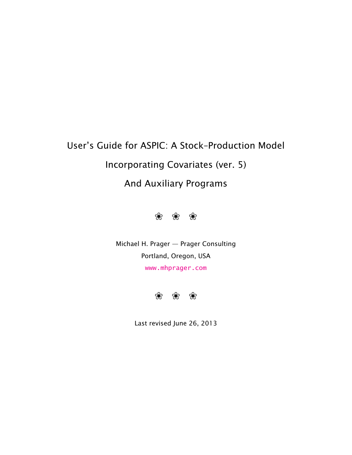# User's Guide for ASPIC: A Stock–Production Model Incorporating Covariates (ver. 5) And Auxiliary Programs



Michael H. Prager — Prager Consulting Portland, Oregon, USA <www.mhprager.com>



Last revised June 26, 2013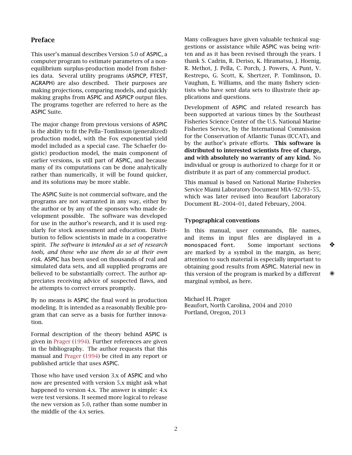# <span id="page-1-0"></span>Preface

This user's manual describes Version 5.0 of ASPIC, a computer program to estimate parameters of a nonequilibrium surplus-production model from fisheries data. Several utility programs (ASPICP, FTEST, AGRAPH) are also described. Their purposes are making projections, comparing models, and quickly making graphs from ASPIC and ASPICP output files. The programs together are referred to here as the ASPIC Suite.

The major change from previous versions of ASPIC is the ability to fit the Pella–Tomlinson (generalized) production model, with the Fox exponential yield model included as a special case. The Schaefer (logistic) production model, the main component of earlier versions, is still part of ASPIC, and because many of its computations can be done analytically rather than numerically, it will be found quicker, and its solutions may be more stable.

The ASPIC Suite is not commercial software, and the programs are not warranted in any way, either by the author or by any of the sponsors who made development possible. The software was developed for use in the author's research, and it is used regularly for stock assessment and education. Distribution to fellow scientists in made in a cooperative spirit. *The software is intended as a set of research tools, and those who use them do so at their own risk.* ASPIC has been used on thousands of real and simulated data sets, and all supplied programs are believed to be substantially correct. The author appreciates receiving advice of suspected flaws, and he attempts to correct errors promptly.

By no means is ASPIC the final word in production modeling. It is intended as a reasonably flexible program that can serve as a basis for further innovation.

Formal description of the theory behind ASPIC is given in [Prager](#page-25-0) [\(1994\)](#page-25-0). Further references are given in the bibliography. The author requests that this manual and [Prager](#page-25-0) [\(1994\)](#page-25-0) be cited in any report or published article that uses ASPIC.

Those who have used version 3.x of ASPIC and who now are presented with version 5.x might ask what happened to version 4.x. The answer is simple: 4.x were test versions. It seemed more logical to release the new version as 5.0, rather than some number in the middle of the 4.x series.

Many colleagues have given valuable technical suggestions or assistance while ASPIC was being written and as it has been revised through the years. I thank S. Cadrin, R. Deriso, K. Hiramatsu, J. Hoenig, R. Methot, J. Pella, C. Porch, J. Powers, A. Punt, V. Restrepo, G. Scott, K. Shertzer, P. Tomlinson, D. Vaughan, E. Williams, and the many fishery scientists who have sent data sets to illustrate their applications and questions.

Development of ASPIC and related research has been supported at various times by the Southeast Fisheries Science Center of the U.S. National Marine Fisheries Service, by the International Commission for the Conservation of Atlantic Tunas (ICCAT), and by the author's private efforts. This software is distributed to interested scientists free of charge, and with absolutely no warranty of any kind. No individual or group is authorized to charge for it or distribute it as part of any commercial product.

This manual is based on National Marine Fisheries Service Miami Laboratory Document MIA–92/93–55, which was later revised into Beaufort Laboratory Document BL–2004–01, dated February, 2004.

#### <span id="page-1-1"></span>Typographical conventions

In this manual, user commands, file names, and items in input files are displayed in a monospaced font. Some important sections ❖ are marked by a symbol in the margin, as here; attention to such material is especially important to obtaining good results from ASPIC. Material new in this version of the program is marked by a different marginal symbol, as here.

Michael H. Prager Beaufort, North Carolina, 2004 and 2010 Portland, Oregon, 2013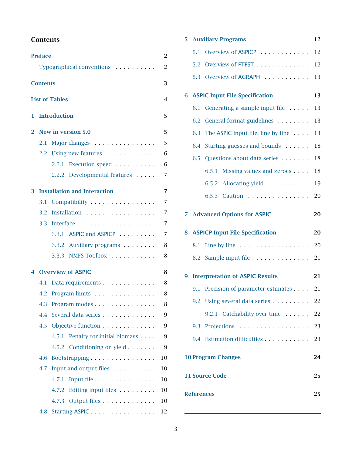# <span id="page-2-0"></span>**Contents**

|                | <b>Preface</b>  |                                     | $\overline{2}$ |
|----------------|-----------------|-------------------------------------|----------------|
|                |                 | Typographical conventions           | $\overline{c}$ |
|                | <b>Contents</b> |                                     | 3              |
|                |                 |                                     |                |
|                |                 | <b>List of Tables</b>               | $\overline{4}$ |
| 1              |                 | <b>Introduction</b>                 | 5              |
| $\overline{2}$ |                 | New in version 5.0                  | 5              |
|                | 2.1             | Major changes                       | 5              |
|                |                 | 2.2 Using new features              | 6              |
|                |                 | 2.2.1 Execution speed               | 6              |
|                |                 | 2.2.2 Developmental features        | 7              |
| 3              |                 | <b>Installation and Interaction</b> | $\overline{7}$ |
|                | 3.1             | Compatibility                       | 7              |
|                | 3.2             | Installation                        | 7              |
|                | 3.3             |                                     | $\overline{7}$ |
|                |                 | 3.3.1 ASPIC and ASPICP              | 7              |
|                |                 | 3.3.2 Auxiliary programs            | 8              |
|                |                 | 3.3.3 NMFS Toolbox                  | 8              |
| 4              |                 | <b>Overview of ASPIC</b>            | 8              |
|                | 4.1             | Data requirements                   | 8              |
|                | 4.2             |                                     | 8              |
|                | 4.3             | Program modes                       | 8              |
|                | 4.4             | Several data series                 | 9              |
|                | 4.5             | Objective function                  | 9              |
|                |                 | 4.5.1 Penalty for initial biomass   | 9              |
|                |                 | 4.5.2 Conditioning on yield         | 9              |
|                | 4.6             | Bootstrapping                       | 10             |
|                | 4.7             | Input and output files              | 10             |
|                |                 | 4.7.1                               | 10             |
|                |                 | 4.7.2<br>Editing input files        | 10             |
|                |                 | 4.7.3 Output files                  | 10             |
|                | 4.8             | Starting ASPIC                      | 12             |

|              |     | <b>5 Auxiliary Programs</b>            | 12 |
|--------------|-----|----------------------------------------|----|
|              | 5.1 |                                        | 12 |
|              | 5.2 | Overview of FTEST                      | 12 |
|              |     | 5.3 Overview of AGRAPH                 | 13 |
| 6            |     | <b>ASPIC Input File Specification</b>  | 13 |
|              | 6.1 | Generating a sample input file         | 13 |
|              | 6.2 | General format guidelines              | 13 |
|              | 6.3 | The ASPIC input file, line by line     | 13 |
|              | 6.4 | Starting guesses and bounds            | 18 |
|              | 6.5 | Questions about data series            | 18 |
|              |     | Missing values and zeroes<br>6.5.1     | 18 |
|              |     | 6.5.2 Allocating yield                 | 19 |
|              |     | 6.5.3 Caution                          | 20 |
| $\mathbf{7}$ |     | <b>Advanced Options for ASPIC</b>      | 20 |
|              |     |                                        |    |
| 8            |     | <b>ASPICP Input File Specification</b> | 20 |
|              | 8.1 | Line by line                           | 20 |
|              |     | 8.2 Sample input file                  | 21 |
| 9            |     | <b>Interpretation of ASPIC Results</b> | 21 |
|              | 9.1 | Precision of parameter estimates 21    |    |
|              |     | 9.2 Using several data series          | 22 |
|              |     | 9.2.1 Catchability over time           | 22 |
|              |     | 9.3 Projections                        | 23 |
|              |     | 9.4 Estimation difficulties            | 23 |
|              |     | <b>10 Program Changes</b>              | 24 |
|              |     | <b>11 Source Code</b>                  | 25 |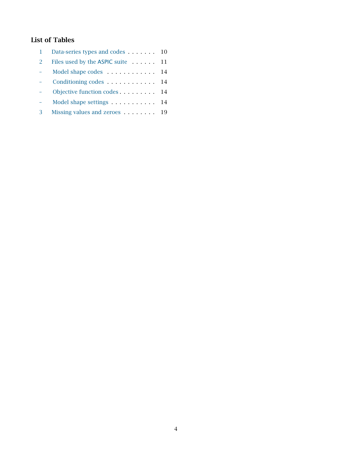# <span id="page-3-0"></span>List of Tables

|   | Data-series types and codes 10 |    |
|---|--------------------------------|----|
| 2 | Files used by the ASPIC suite  | 11 |
|   | Model shape codes              | 14 |
|   |                                | 14 |
|   |                                | 14 |
|   |                                |    |
| 3 | Missing values and zeroes 19   |    |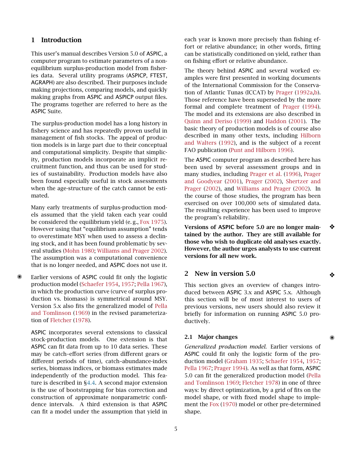# <span id="page-4-0"></span>1 Introduction

This user's manual describes Version 5.0 of ASPIC, a computer program to estimate parameters of a nonequilibrium surplus-production model from fisheries data. Several utility programs (ASPICP, FTEST, AGRAPH) are also described. Their purposes include making projections, comparing models, and quickly making graphs from ASPIC and ASPICP output files. The programs together are referred to here as the ASPIC Suite.

The surplus-production model has a long history in fishery science and has repeatedly proven useful in management of fish stocks. The appeal of production models is in large part due to their conceptual and computational simplicity. Despite that simplicity, production models incorporate an implicit recruitment function, and thus can be used for studies of sustainability. Production models have also been found especially useful in stock assessments when the age-structure of the catch cannot be estimated.

Many early treatments of surplus-production models assumed that the yield taken each year could be considered the equilibrium yield (e. g., [Fox](#page-24-2) [1975\)](#page-24-2). However using that "equilibrium assumption" tends to overestimate MSY when used to assess a declining stock, and it has been found problematic by several studies [\(Mohn](#page-24-3) [1980;](#page-24-3) [Williams and Prager](#page-25-1) [2002\)](#page-25-1). The assumption was a computational convenience that is no longer needed, and ASPIC does not use it.

Earlier versions of ASPIC could fit only the logistic production model [\(Schaefer](#page-25-2) [1954,](#page-25-2) [1957;](#page-25-3) [Pella](#page-24-4) [1967\)](#page-24-4), in which the production curve (curve of surplus production vs. biomass) is symmetrical around MSY. Version 5.x also fits the generalized model of [Pella](#page-24-5) [and Tomlinson](#page-24-5) [\(1969\)](#page-24-5) in the revised parameterization of [Fletcher](#page-24-6) [\(1978\)](#page-24-6).

ASPIC incorporates several extensions to classical stock-production models. One extension is that ASPIC can fit data from up to 10 data series. These may be catch–effort series (from different gears or different periods of time), catch–abundance-index series, biomass indices, or biomass estimates made independently of the production model. This feature is described in [§4.4.](#page-8-0) A second major extension is the use of bootstrapping for bias correction and construction of approximate nonparametric confidence intervals. A third extension is that ASPIC can fit a model under the assumption that yield in each year is known more precisely than fishing effort or relative abundance; in other words, fitting can be statistically conditioned on yield, rather than on fishing effort or relative abundance.

The theory behind ASPIC and several worked examples were first presented in working documents of the International Commission for the Conservation of Atlantic Tunas (ICCAT) by [Prager](#page-24-7) [\(1992a,](#page-24-7)[b\)](#page-24-8). Those reference have been superseded by the more formal and complete treatment of [Prager](#page-25-0) [\(1994\)](#page-25-0). The model and its extensions are also described in [Quinn and Deriso](#page-25-4) [\(1999\)](#page-25-4) and [Haddon](#page-24-9) [\(2001\)](#page-24-9). The basic theory of production models is of course also described in many other texts, including [Hilborn](#page-24-10) [and Walters](#page-24-10) [\(1992\)](#page-24-10), and is the subject of a recent FAO publication [\(Punt and Hilborn](#page-25-5) [1996\)](#page-25-5).

The ASPIC computer program as described here has been used by several assessment groups and in many studies, including [Prager et al.](#page-25-6) [\(1996\)](#page-25-6), [Prager](#page-25-7) [and Goodyear](#page-25-7) [\(2001\)](#page-25-7), [Prager](#page-25-8) [\(2002\)](#page-25-8), [Shertzer and](#page-25-9) [Prager](#page-25-9) [\(2002\)](#page-25-9), and [Williams and Prager](#page-25-1) [\(2002\)](#page-25-1). In the course of those studies, the program has been exercised on over 100,000 sets of simulated data. The resulting experience has been used to improve the program's reliability.

Versions of ASPIC before 5.0 are no longer main- ❖ tained by the author. They are still available for those who wish to duplicate old analyses exactly. However, the author urges analysts to use current versions for all new work.

#### <span id="page-4-1"></span>2 New in version 5.0 ❖

This section gives an overview of changes introduced between ASPIC 3.x and ASPIC 5.x. Although this section will be of most interest to users of previous versions, new users should also review it briefly for information on running ASPIC 5.0 productively.

#### <span id="page-4-2"></span>2.1 Major changes

*Generalized production model.* Earlier versions of ASPIC could fit only the logistic form of the production model [\(Graham](#page-24-11) [1935;](#page-24-11) [Schaefer](#page-25-2) [1954,](#page-25-2) [1957;](#page-25-3) [Pella](#page-24-4) [1967;](#page-24-4) [Prager](#page-25-0) [1994\)](#page-25-0). As well as that form, ASPIC 5.0 can fit the generalized production model [\(Pella](#page-24-5) [and Tomlinson](#page-24-5) [1969;](#page-24-5) [Fletcher](#page-24-6) [1978\)](#page-24-6) in one of three ways: by direct optimization, by a grid of fits on the model shape, or with fixed model shape to implement the [Fox](#page-24-12) [\(1970\)](#page-24-12) model or other pre-determined shape.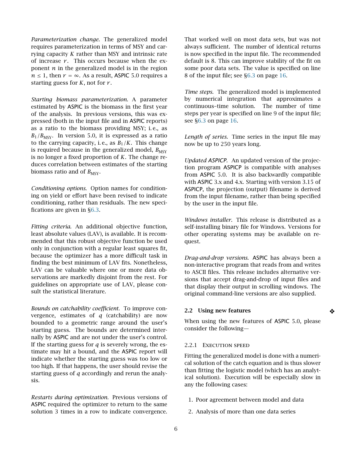*Parameterization change.* The generalized model requires parameterization in terms of MSY and carrying capacity *K* rather than MSY and intrinsic rate of increase  $r$ . This occurs because when the exponent *n* in the generalized model is in the region  $n \leq 1$ , then  $r = \infty$ . As a result, ASPIC 5.0 requires a starting guess for *K*, not for *r* .

*Starting biomass parameterization.* A parameter estimated by ASPIC is the biomass in the first year of the analysis. In previous versions, this was expressed (both in the input file and in ASPIC reports) as a ratio to the biomass providing MSY; i. e., as  $B_1/B_{\text{MSY}}$ . In version 5.0, it is expressed as a ratio to the carrying capacity, i.e., as  $B_1/K$ . This change is required because in the generalized model,  $B_{\text{MSY}}$ is no longer a fixed proportion of *K*. The change reduces correlation between estimates of the starting biomass ratio and of  $B_{\text{MSY}}$ .

*Conditioning options.* Option names for conditioning on yield or effort have been revised to indicate conditioning, rather than residuals. The new specifications are given in [§6.3.](#page-13-0)

*Fitting criteria.* An additional objective function, least absolute values (LAV), is available. It is recommended that this robust objective function be used only in conjunction with a regular least squares fit, because the optimizer has a more difficult task in finding the best minimum of LAV fits. Nonetheless, LAV can be valuable where one or more data observations are markedly disjoint from the rest. For guidelines on appropriate use of LAV, please consult the statistical literature.

*Bounds on catchability coefficient.* To improve convergence, estimates of *q* (catchability) are now bounded to a geometric range around the user's starting guess. The bounds are determined internally by ASPIC and are not under the user's control. If the starting guess for *q* is severely wrong, the estimate may hit a bound, and the ASPIC report will indicate whether the starting guess was too low or too high. If that happens, the user should revise the starting guess of *q* accordingly and rerun the analysis.

*Restarts during optimization.* Previous versions of ASPIC required the optimizer to return to the same solution 3 times in a row to indicate convergence.

That worked well on most data sets, but was not always sufficient. The number of identical returns is now specified in the input file. The recommended default is 8. This can improve stability of the fit on some poor data sets. The value is specified on line 8 of the input file; see [§6.3](#page-15-0) on page [16.](#page-15-0)

*Time steps.* The generalized model is implemented by numerical integration that approximates a continuous–time solution. The number of time steps per year is specified on line 9 of the input file; see [§6.3](#page-15-1) on page [16.](#page-15-1)

*Length of series.* Time series in the input file may now be up to 250 years long.

*Updated ASPICP.* An updated version of the projection program ASPICP is compatible with analyses from ASPIC 5.0. It is also backwardly compatible with ASPIC 3.x and 4.x. Starting with version 3.15 of ASPICP, the projection (output) filename is derived from the input filename, rather than being specified by the user in the input file.

*Windows installer.* This release is distributed as a self-installing binary file for Windows. Versions for other operating systems may be available on request.

*Drag-and-drop versions.* ASPIC has always been a non-interactive program that reads from and writes to ASCII files. This release includes alternative versions that accept drag-and-drop of input files and that display their output in scrolling windows. The original command-line versions are also supplied.

#### <span id="page-5-0"></span>2.2 Using new features ◆

When using the new features of ASPIC 5.0, please consider the following—

#### <span id="page-5-1"></span>2.2.1 EXECUTION SPEED

Fitting the generalized model is done with a numerical solution of the catch equation and is thus slower than fitting the logistic model (which has an analytical solution). Execution will be especially slow in any the following cases:

- 1. Poor agreement between model and data
- 2. Analysis of more than one data series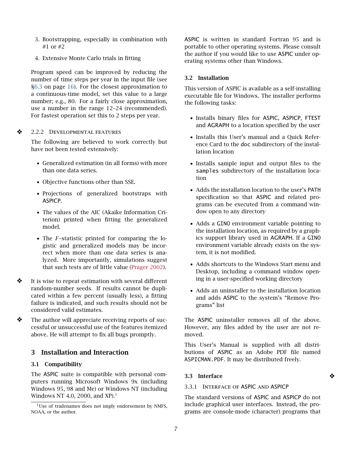- 3. Bootstrapping, especially in combination with #1 or #2
- 4. Extensive Monte Carlo trials in fitting

Program speed can be improved by reducing the number of time steps per year in the input file (see [§6.3](#page-15-1) on page [16\)](#page-15-1). For the closest approximation to a continuous-time model, set this value to a large number; e.g., 80. For a fairly close approximation, use a number in the range 12–24 (recommended). For fastest operation set this to 2 steps per year.

❖ <sup>2</sup>.2.<sup>2</sup> Developmental features

<span id="page-6-0"></span>The following are believed to work correctly but have not been tested extensively:

- Generalized estimation (in all forms) with more than one data series.
- Objective functions other than SSE.
- Projections of generalized bootstraps with ASPICP.
- The values of the AIC (Akaike Information Criterion) printed when fitting the generalized model.
- The *F*–statistic printed for comparing the logistic and generalized models may be incorrect when more than one data series is analyzed. More importantly, simulations suggest that such tests are of little value [\(Prager](#page-25-8) [2002\)](#page-25-8).
- ❖ It is wise to repeat estimation with several different random-number seeds. If results cannot be duplicated within a few percent (usually less), a fitting failure is indicated, and such results should not be considered valid estimates.
- ❖ The author will appreciate receiving reports of successful or unsuccessful use of the features itemized above. He will attempt to fix all bugs promptly.

# <span id="page-6-1"></span>3 Installation and Interaction

#### <span id="page-6-2"></span>3.1 Compatibility

The ASPIC suite is compatible with personal computers running Microsoft Windows 9x (including Windows 95, 98 and Me) or Windows NT (including Windows NT 4.0, 2000, and XP $1$ <sup>1</sup>

ASPIC is written in standard Fortran 95 and is portable to other operating systems. Please consult the author if you would like to use ASPIC under operating systems other than Windows.

### <span id="page-6-3"></span>3.2 Installation

This version of ASPIC is available as a self-installing executable file for Windows. The installer performs the following tasks:

- Installs binary files for ASPIC, ASPICP, FTEST and AGRAPH to a location specified by the user
- Installs this User's manual and a Quick Reference Card to the doc subdirectory of the installation location
- Installs sample input and output files to the samples subdirectory of the installation location
- Adds the installation location to the user's PATH specification so that ASPIC and related programs can be executed from a command window open to any directory
- Adds a GINO environment variable pointing to the installation location, as required by a graphics support library used in AGRAPH. If a GINO environment variable already exists on the system, it is not modified.
- Adds shortcuts to the Windows Start menu and Desktop, including a command window opening in a user-specified working directory
- Adds an uninstaller to the installation location and adds ASPIC to the system's "Remove Programs" list

The ASPIC uninstaller removes all of the above. However, any files added by the user are not removed.

This User's Manual is supplied with all distributions of ASPIC as an Adobe PDF file named ASPICMAN.PDF. It may be distributed freely.

#### <span id="page-6-4"></span>3.3 Interface ❖

#### <span id="page-6-5"></span>3.3.1 Interface of ASPIC and ASPICP

The standard versions of ASPIC and ASPICP do not include graphical user interfaces. Instead, the programs are console-mode (character) programs that

<span id="page-6-6"></span><sup>&</sup>lt;sup>1</sup>Use of tradenames does not imply endorsement by NMFS, NOAA, or the author.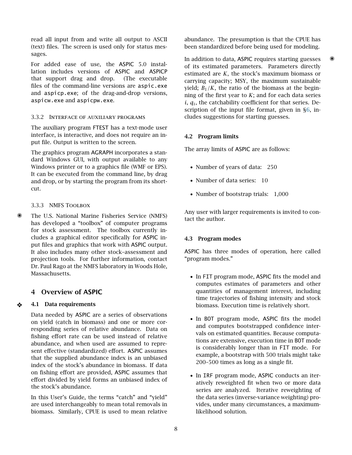read all input from and write all output to ASCII (text) files. The screen is used only for status messages.

For added ease of use, the ASPIC 5.0 installation includes versions of ASPIC and ASPICP that support drag and drop. (The executable files of the command-line versions are aspic.exe and aspicp.exe; of the drag-and-drop versions, aspicw.exe and aspicpw.exe.

#### <span id="page-7-0"></span>3.3.2 Interface of auxiliary programs

The auxiliary program FTEST has a text-mode user interface, is interactive, and does not require an input file. Output is written to the screen.

The graphics program AGRAPH incorporates a standard Windows GUI, with output available to any Windows printer or to a graphics file (WMF or EPS). It can be executed from the command line, by drag and drop, or by starting the program from its shortcut.

#### <span id="page-7-1"></span>3.3.3 NMFS Toolbox

✺ The U.S. National Marine Fisheries Service (NMFS) has developed a "toolbox" of computer programs for stock assessment. The toolbox currently includes a graphical editor specifically for ASPIC input files and graphics that work with ASPIC output. It also includes many other stock–assessment and projection tools. For further information, contact Dr. Paul Rago at the NMFS laboratory in Woods Hole, Massachusetts.

# <span id="page-7-3"></span><span id="page-7-2"></span>4 Overview of ASPIC

#### ❖ 4.1 Data requirements

Data needed by ASPIC are a series of observations on yield (catch in biomass) and one or more corresponding series of relative abundance. Data on fishing effort rate can be used instead of relative abundance, and when used are assumed to represent effective (standardized) effort. ASPIC assumes that the supplied abundance index is an unbiased index of the stock's abundance in biomass. If data on fishing effort are provided, ASPIC assumes that effort divided by yield forms an unbiased index of the stock's abundance.

In this User's Guide, the terms "catch" and "yield" are used interchangeably to mean total removals in biomass. Similarly, CPUE is used to mean relative

abundance. The presumption is that the CPUE has been standardized before being used for modeling.

In addition to data, ASPIC requires starting guesses  $\ddot{\mathcal{L}}$ of its estimated parameters. Parameters directly estimated are *K*, the stock's maximum biomass or carrying capacity; MSY, the maximum sustainable yield;  $B_1/K$ , the ratio of the biomass at the beginning of the first year to *K*; and for each data series  $i, q_i$ , the catchability coefficient for that series. Description of the input file format, given in [§6,](#page-12-1) includes suggestions for starting guesses.

#### <span id="page-7-4"></span>4.2 Program limits

The array limits of ASPIC are as follows:

- Number of years of data: 250
- Number of data series: 10
- Number of bootstrap trials: 1,000

Any user with larger requirements is invited to contact the author.

#### <span id="page-7-5"></span>4.3 Program modes

ASPIC has three modes of operation, here called "program modes."

- In FIT program mode, ASPIC fits the model and computes estimates of parameters and other quantities of management interest, including time trajectories of fishing intensity and stock biomass. Execution time is relatively short.
- In BOT program mode, ASPIC fits the model and computes bootstrapped confidence intervals on estimated quantities. Because computations are extensive, execution time in BOT mode is considerably longer than in FIT mode. For example, a bootstrap with 500 trials might take 200–500 times as long as a single fit.
- In IRF program mode, ASPIC conducts an iteratively reweighted fit when two or more data series are analyzed. Iterative reweighting of the data series (inverse-variance weighting) provides, under many circumstances, a maximumlikelihood solution.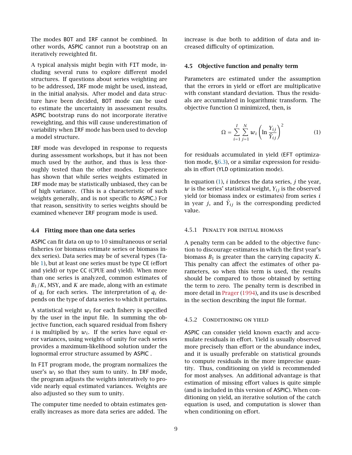The modes BOT and IRF cannot be combined. In other words, ASPIC cannot run a bootstrap on an iteratively reweighted fit.

A typical analysis might begin with FIT mode, including several runs to explore different model structures. If questions about series weighting are to be addressed, IRF mode might be used, instead, in the initial analysis. After model and data structure have been decided, BOT mode can be used to estimate the uncertainty in assessment results. ASPIC bootstrap runs do not incorporate iterative reweighting, and this will cause underestimation of variability when IRF mode has been used to develop a model structure.

IRF mode was developed in response to requests during assessment workshops, but it has not been much used by the author, and thus is less thoroughly tested than the other modes. Experience has shown that while series weights estimated in IRF mode may be statistically unbiased, they can be of high variance. (This is a characteristic of such weights generally, and is not specific to ASPIC.) For that reason, sensitivity to series weights should be examined whenever IRF program mode is used.

#### <span id="page-8-0"></span>4.4 Fitting more than one data series

ASPIC can fit data on up to 10 simultaneous or serial fisheries (or biomass estimate series or biomass index series). Data series may be of several types (Table [1\)](#page-9-5), but at least one series must be type CE (effort and yield) or type CC (CPUE and yield). When more than one series is analyzed, common estimates of  $B_1/K$ , MSY, and *K* are made, along with an estimate of  $q_i$  for each series. The interpretation of  $q_i$  depends on the type of data series to which it pertains.

A statistical weight  $w_i$  for each fishery is specified by the user in the input file. In summing the objective function, each squared residual from fishery *i* is multiplied by  $w_i$ . If the series have equal error variances, using weights of unity for each series provides a maximum-likelihood solution under the lognormal error structure assumed by ASPIC .

In FIT program mode, the program normalizes the user's  $w_i$  so that they sum to unity. In IRF mode, the program adjusts the weights interatively to provide nearly equal estimated variances. Weights are also adjusted so they sum to unity.

The computer time needed to obtain estimates generally increases as more data series are added. The increase is due both to addition of data and increased difficulty of optimization.

#### <span id="page-8-1"></span>4.5 Objective function and penalty term

Parameters are estimated under the assumption that the errors in yield or effort are multiplicative with constant standard deviation. Thus the residuals are accumulated in logarithmic transform. The objective function  $Ω$  minimized, then, is

<span id="page-8-4"></span>
$$
\Omega = \sum_{i=1}^{I} \sum_{j=1}^{N} w_i \left( \ln \frac{Y_{ij}}{\hat{Y}_{ij}} \right)^2 \tag{1}
$$

for residuals accumulated in yield (EFT optimization mode, [§6.3\)](#page-13-0), or a similar expression for residuals in effort (YLD optimization mode).

In equation [\(1\)](#page-8-4), *i* indexes the data series, *j* the year,  $w$  is the series' statistical weight,  $Y_{ij}$  is the observed yield (or biomass index or estimates) from series *i* in year *j*, and  $\hat{Y}_{ij}$  is the corresponding predicted value.

#### <span id="page-8-2"></span>4.5.1 Penalty for initial biomass

A penalty term can be added to the objective function to discourage estimates in which the first year's biomass  $B_1$  is greater than the carrying capacity  $K$ . This penalty can affect the estimates of other parameters, so when this term is used, the results should be compared to those obtained by setting the term to zero. The penalty term is described in more detail in [Prager](#page-25-0) [\(1994\)](#page-25-0), and its use is described in the section describing the input file format.

#### <span id="page-8-3"></span>4.5.2 Conditioning on yield

ASPIC can consider yield known exactly and accumulate residuals in effort. Yield is usually observed more precisely than effort or the abundance index, and it is usually preferable on statistical grounds to compute residuals in the more imprecise quantity. Thus, conditioning on yield is recommended for most analyses. An additional advantage is that estimation of missing effort values is quite simple (and is included in this version of ASPIC). When conditioning on yield, an iterative solution of the catch equation is used, and computation is slower than when conditioning on effort.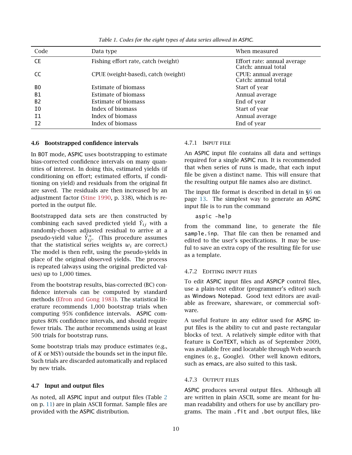<span id="page-9-5"></span>

| Code           | Data type                           | When measured                                      |
|----------------|-------------------------------------|----------------------------------------------------|
| <b>CE</b>      | Fishing effort rate, catch (weight) | Effort rate: annual average<br>Catch: annual total |
| CC             | CPUE (weight-based), catch (weight) | CPUE: annual average<br>Catch: annual total        |
| B <sub>0</sub> | Estimate of biomass                 | Start of year                                      |
| <b>B1</b>      | Estimate of biomass                 | Annual average                                     |
| B <sub>2</sub> | Estimate of biomass                 | End of year                                        |
| I0             | Index of biomass                    | Start of year                                      |
| I1             | Index of biomass                    | Annual average                                     |
| I <sub>2</sub> | Index of biomass                    | End of year                                        |

*Table 1. Codes for the eight types of data series allowed in ASPIC.*

#### <span id="page-9-0"></span>4.6 Bootstrapped confidence intervals

In BOT mode, ASPIC uses bootstrapping to estimate bias-corrected confidence intervals on many quantities of interest. In doing this, estimated yields (if conditioning on effort; estimated efforts, if conditioning on yield) and residuals from the original fit are saved. The residuals are then increased by an adjustment factor [\(Stine](#page-25-10) [1990,](#page-25-10) p. 338), which is reported in the output file.

Bootstrapped data sets are then constructed by combining each saved predicted yield  $\hat{Y}_{ij}$  with a randomly-chosen adjusted residual to arrive at a pseudo-yield value  $\hat{Y}_{ij}^*$ . (This procedure assumes that the statistical series weights  $w_i$  are correct.) The model is then refit, using the pseudo-yields in place of the original observed yields. The process is repeated (always using the original predicted values) up to 1,000 times.

From the bootstrap results, bias-corrected (BC) confidence intervals can be computed by standard methods [\(Efron and Gong](#page-24-13) [1983\)](#page-24-13). The statistical literature recommends 1,000 bootstrap trials when computing 95% confidence intervals. ASPIC computes 80% confidence intervals, and should require fewer trials. The author recommends using at least 500 trials for bootstrap runs.

Some bootstrap trials may produce estimates (e.g., of *K* or MSY) outside the bounds set in the input file. Such trials are discarded automatically and replaced by new trials.

#### <span id="page-9-1"></span>4.7 Input and output files

As noted, all ASPIC input and output files (Table [2](#page-10-0) on p. [11\)](#page-10-0) are in plain ASCII format. Sample files are provided with the ASPIC distribution.

#### <span id="page-9-2"></span>4.7.1 Input file

An ASPIC input file contains all data and settings required for a single ASPIC run. It is recommended that when series of runs is made, that each input file be given a distinct name. This will ensure that the resulting output file names also are distinct.

The input file format is described in detail in [§6](#page-12-1) on page [13.](#page-12-1) The simplest way to generate an ASPIC input file is to run the command

aspic -help

from the command line, to generate the file sample.inp. That file can then be renamed and edited to the user's specifications. It may be useful to save an extra copy of the resulting file for use as a template.

#### <span id="page-9-3"></span>4.7.2 Editing input files

To edit ASPIC input files and ASPICP control files, use a plain-text editor (programmer's editor) such as Windows Notepad. Good text editors are available as freeware, shareware, or commercial software.

A useful feature in any editor used for ASPIC input files is the ability to cut and paste rectangular blocks of text. A relatively simple editor with that feature is ConTEXT, which as of September 2009, was available free and locatable through Web search engines (e. g., Google). Other well known editors, such as emacs, are also suited to this task.

#### <span id="page-9-4"></span>4.7.3 Output files

ASPIC produces several output files. Although all are written in plain ASCII, some are meant for human readability and others for use by ancillary programs. The main .fit and .bot output files, like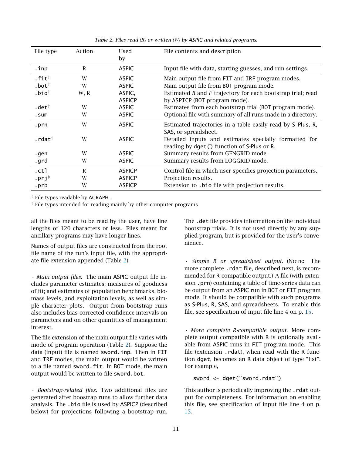<span id="page-10-0"></span>

| File type             | Action | Used          | File contents and description                                   |  |
|-----------------------|--------|---------------|-----------------------------------------------------------------|--|
|                       |        | by            |                                                                 |  |
| .inp                  | R      | <b>ASPIC</b>  | Input file with data, starting guesses, and run settings.       |  |
| $.$ fit $*$           | W      | <b>ASPIC</b>  | Main output file from FIT and IRF program modes.                |  |
| $.$ bot $†$           | W      | <b>ASPIC</b>  | Main output file from BOT program mode.                         |  |
| $.$ bio $^{\dagger}$  | W, R   | ASPIC,        | Estimated $B$ and $F$ trajectory for each bootstrap trial; read |  |
|                       |        | <b>ASPICP</b> | by ASPICP (BOT program mode).                                   |  |
| .det $^\dagger$       | W      | <b>ASPIC</b>  | Estimates from each bootstrap trial (BOT program mode).         |  |
| .sum                  | W      | <b>ASPIC</b>  | Optional file with summary of all runs made in a directory.     |  |
| .prn                  | W      | <b>ASPIC</b>  | Estimated trajectories in a table easily read by S-Plus, R,     |  |
|                       |        |               | SAS, or spreadsheet.                                            |  |
| . $rdat^{\dagger}$    | W      | <b>ASPIC</b>  | Detailed inputs and estimates specially formatted for           |  |
|                       |        |               | reading by dget () function of S-Plus or R.                     |  |
| .gen                  | W      | <b>ASPIC</b>  | Summary results from GENGRID mode.                              |  |
| .grd                  | W      | <b>ASPIC</b>  | Summary results from LOGGRID mode.                              |  |
| .ctl                  | R      | <b>ASPICP</b> | Control file in which user specifies projection parameters.     |  |
| $.$ prj $^{\ddagger}$ | W      | <b>ASPICP</b> | Projection results.                                             |  |
| .prb                  | W      | <b>ASPICP</b> | Extension to .bio file with projection results.                 |  |

*Table 2. Files read (R) or written (W) by ASPIC and related programs.*

‡ File types readable by AGRAPH .

† File types intended for reading mainly by other computer programs.

all the files meant to be read by the user, have line lengths of 120 characters or less. Files meant for ancillary programs may have longer lines.

Names of output files are constructed from the root file name of the run's input file, with the appropriate file extension appended (Table [2\)](#page-10-0).

*• Main output files.* The main ASPIC output file includes parameter estimates; measures of goodness of fit; and estimates of population benchmarks, biomass levels, and exploitation levels, as well as simple character plots. Output from bootstrap runs also includes bias-corrected confidence intervals on parameters and on other quantities of management interest.

The file extension of the main output file varies with mode of program operation (Table [2\)](#page-10-0). Suppose the data (input) file is named sword.inp. Then in FIT and IRF modes, the main output would be written to a file named sword.fit. In BOT mode, the main output would be written to file sword.bot.

*• Bootstrap-related files.* Two additional files are generated after boostrap runs to allow further data analysis. The .bio file is used by ASPICP (described below) for projections following a bootstrap run.

The .det file provides information on the individual bootstrap trials. It is not used directly by any supplied program, but is provided for the user's convenience.

*• Simple R or spreadsheet output.* (NOTE: The more complete .rdat file, described next, is recommended for R-compatible output.) A file (with extension .prn) containing a table of time-series data can be output from an ASPIC run in BOT or FIT program mode. It should be compatible with such programs as S-Plus, R, SAS, and spreadsheets. To enable this file, see specification of input file line 4 on p. [15.](#page-14-0)

*• More complete R-compatible output.* More complete output compatible with R is optionally available from ASPIC runs in FIT program mode. This file (extension .rdat), when read with the R function dget, becomes an R data object of type "list". For example,

sword <- dget("sword.rdat")

This author is periodically improving the .rdat output for completeness. For information on enabling this file, see specification of input file line 4 on p. [15.](#page-14-0)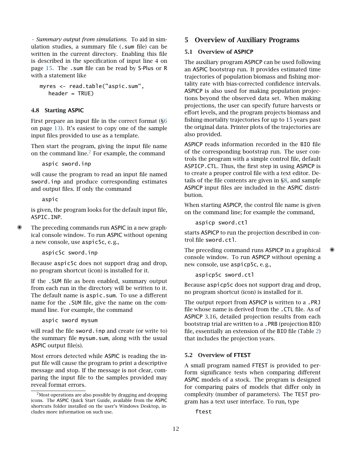*• Summary output from simulations.* To aid in simulation studies, a summary file (.sum file) can be written in the current directory. Enabling this file is described in the specification of input line 4 on page [15.](#page-14-0) The .sum file can be read by S-Plus or R with a statement like

```
myres <- read.table("aspic.sum",
header = TRUE)
```
#### <span id="page-11-0"></span>4.8 Starting ASPIC

First prepare an input file in the correct format ([§6](#page-12-1) on page [13\)](#page-12-1). It's easiest to copy one of the sample input files provided to use as a template.

Then start the program, giving the input file name on the command line.[2](#page-11-4) For example, the command

aspic sword.inp

will cause the program to read an input file named sword.inp and produce corresponding estimates and output files. If only the command

aspic

is given, the program looks for the default input file, ASPIC.INP.

The preceding commands run ASPIC in a new graphical console window. To run ASPIC without opening a new console, use aspic5c, e. g.,

aspic5c sword.inp

Because aspic5c does not support drag and drop, no program shortcut (icon) is installed for it.

If the .SUM file as been enabled, summary output from each run in the directory will be written to it. The default name is aspic.sum. To use a different name for the .SUM file, give the name on the command line. For example, the command

aspic sword mysum

will read the file sword. inp and create (or write to) the summary file mysum.sum, along with the usual ASPIC output file(s).

Most errors detected while ASPIC is reading the input file will cause the program to print a descriptive message and stop. If the message is not clear, comparing the input file to the samples provided may reveal format errors.

### <span id="page-11-1"></span>5 Overview of Auxiliary Programs

#### <span id="page-11-2"></span>5.1 Overview of ASPICP

The auxiliary program ASPICP can be used following an ASPIC bootstrap run. It provides estimated time trajectories of population biomass and fishing mortality rate with bias-corrected confidence intervals. ASPICP is also used for making population projections beyond the observed data set. When making projections, the user can specify future harvests or effort levels, and the program projects biomass and fishing-mortality trajectories for up to 15 years past the original data. Printer plots of the trajectories are also provided.

ASPICP reads information recorded in the BIO file of the corresponding bootstrap run. The user controls the program with a simple control file, default ASPICP.CTL. Thus, the first step in using ASPICP is to create a proper control file with a text editor. Details of the file contents are given in [§8,](#page-19-2) and sample ASPICP input files are included in the ASPIC distribution.

When starting ASPICP, the control file name is given on the command line; for example the command,

aspicp sword.ctl

starts ASPICP to run the projection described in control file sword.ctl.

The preceding command runs ASPICP in a graphical console window. To run ASPICP without opening a new console, use aspicp5c, e. g.,

aspicp5c sword.ctl

Because aspicp5c does not support drag and drop, no program shortcut (icon) is installed for it.

The output report from ASPICP is written to a .PRJ file whose name is derived from the .CTL file. As of ASPICP 3.16, detailed projection results from each bootstrap trial are written to a .PRB (projection BIO) file, essentially an extension of the BIO file (Table [2\)](#page-10-0) that includes the projection years.

#### <span id="page-11-3"></span>5.2 Overview of FTEST

A small program named FTEST is provided to perform significance tests when comparing different ASPIC models of a stock. The program is designed for comparing pairs of models that differ only in complexity (number of parameters). The TEST program has a text user interface. To run, type

ftest

<span id="page-11-4"></span><sup>2</sup>Most operations are also possible by dragging and dropping icons. The ASPIC Quick Start Guide, available from the ASPIC shortcuts folder installed on the user's Windows Desktop, includes more information on such use.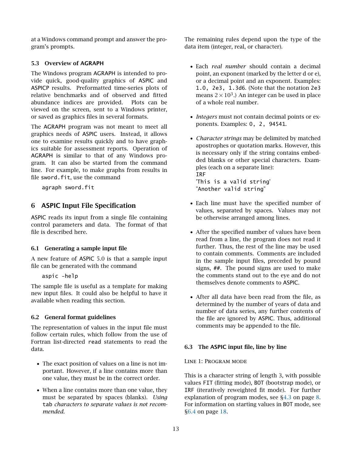at a Windows command prompt and answer the program's prompts.

#### <span id="page-12-0"></span>5.3 Overview of AGRAPH

The Windows program AGRAPH is intended to provide quick, good-quality graphics of ASPIC and ASPICP results. Preformatted time-series plots of relative benchmarks and of observed and fitted abundance indices are provided. Plots can be viewed on the screen, sent to a Windows printer, or saved as graphics files in several formats.

The AGRAPH program was not meant to meet all graphics needs of ASPIC users. Instead, it allows one to examine results quickly and to have graphics suitable for assessment reports. Operation of AGRAPH is similar to that of any Windows program. It can also be started from the command line. For example, to make graphs from results in file sword. fit, use the command

agraph sword.fit

# <span id="page-12-1"></span>6 ASPIC Input File Specification

ASPIC reads its input from a single file containing control parameters and data. The format of that file is described here.

#### <span id="page-12-2"></span>6.1 Generating a sample input file

A new feature of ASPIC 5.0 is that a sample input file can be generated with the command

aspic -help

The sample file is useful as a template for making new input files. It could also be helpful to have it available when reading this section.

#### <span id="page-12-3"></span>6.2 General format guidelines

The representation of values in the input file must follow certain rules, which follow from the use of Fortran list-directed read statements to read the data.

- The exact position of values on a line is not important. However, if a line contains more than one value, they must be in the correct order.
- When a line contains more than one value, they must be separated by spaces (blanks). *Using* tab *characters to separate values is not recommended.*

The remaining rules depend upon the type of the data item (integer, real, or character).

- Each *real number* should contain a decimal point, an exponent (marked by the letter d or e), or a decimal point and an exponent. Examples: 1.0, 2e3, 1.3d6. (Note that the notation 2e3 means 2  $\times$  10<sup>3</sup>.) An integer can be used in place of a whole real number.
- *Integers* must not contain decimal points or exponents. Examples: 0, 2, 94541.
- *Character strings* may be delimited by matched apostrophes or quotation marks. However, this is necessary only if the string contains embedded blanks or other special characters. Examples (each on a separate line): IRF 'This is a valid string' "Another valid string"
- Each line must have the specified number of values, separated by spaces. Values may not be otherwise arranged among lines.
- After the specified number of values have been read from a line, the program does not read it further. Thus, the rest of the line may be used to contain comments. Comments are included in the sample input files, preceded by pound signs, ##. The pound signs are used to make the comments stand out to the eye and do not themselves denote comments to ASPIC.
- After all data have been read from the file, as determined by the number of years of data and number of data series, any further contents of the file are ignored by ASPIC. Thus, additional comments may be appended to the file.

#### <span id="page-12-4"></span>6.3 The ASPIC input file, line by line

#### Line 1: Program mode

This is a character string of length 3, with possible values FIT (fitting mode), BOT (bootstrap mode), or IRF (iteratively reweighted fit mode). For further explanation of program modes, see [§4.3](#page-7-5) on page [8.](#page-7-5) For information on starting values in BOT mode, see [§6.4](#page-17-0) on page [18.](#page-17-0)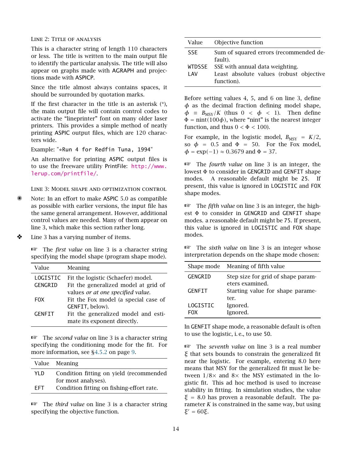#### Line 2: Title of analysis

This is a character string of length 110 characters or less. The title is written to the main output file to identify the particular analysis. The title will also appear on graphs made with AGRAPH and projections made with ASPICP.

Since the title almost always contains spaces, it should be surrounded by quotation marks.

If the first character in the title is an asterisk  $(*)$ , the main output file will contain control codes to activate the "lineprinter" font on many older laser printers. This provides a simple method of neatly printing ASPIC output files, which are 120 characters wide.

Example: "\*Run 4 for Redfin Tuna, 1994"

An alternative for printing ASPIC output files is to use the freeware utility PrintFile: [http://www.](http://www.lerup.com/printfile/) [lerup.com/printfile/](http://www.lerup.com/printfile/).

<span id="page-13-0"></span>Line 3: Model shape and optimization control

- Note: In an effort to make ASPIC 5.0 as compatible as possible with earlier versions, the input file has the same general arrangement. However, additional control values are needed. Many of them appear on line 3, which make this section rather long.
- ❖ Line 3 has a varying number of items.

☞ The *first value* on line 3 is a character string specifying the model shape (program shape mode).

| Value            | Meaning                              |
|------------------|--------------------------------------|
| LOGISTIC         | Fit the logistic (Schaefer) model.   |
| GENGRID          | Fit the generalized model at grid of |
|                  | values or at one specified value.    |
| F <sub>0</sub> X | Fit the Fox model (a special case of |
|                  | GENFIT, below).                      |
| <b>GENFIT</b>    | Fit the generalized model and esti-  |
|                  | mate its exponent directly.          |

☞ The *second value* on line 3 is a character string specifying the conditioning mode for the fit. For more information, see [§4.5.2](#page-8-3) on page [9.](#page-8-3)

|      | Value Meaning                             |
|------|-------------------------------------------|
| YI D | Condition fitting on yield (recommended   |
|      | for most analyses).                       |
| FFT. | Condition fitting on fishing-effort rate. |
|      |                                           |

☞ The *third value* on line 3 is a character string specifying the objective function.

| Value      | Objective function                                                                              |
|------------|-------------------------------------------------------------------------------------------------|
| <b>SSE</b> | Sum of squared errors (recommended de-<br>fault).                                               |
| I AV       | WTDSSE SSE with annual data weighting.<br>Least absolute values (robust objective<br>function). |

Before setting values 4, 5, and 6 on line 3, define *φ* as the decimal fraction defining model shape,  $\phi \equiv B_{\text{MSY}}/K$  (thus  $0 \lt \phi \lt 1$ ). Then define  $\Phi = \text{nint}(100\phi)$ , where "nint" is the nearest integer function, and thus  $0 < \Phi < 100$ ).

For example, in the logistic model,  $B_{\text{MSY}} = K/2$ , so  $\phi$  = 0.5 and  $\Phi$  = 50. For the Fox model,  $\phi = \exp(-1) \approx 0.3679$  and  $\Phi = 37$ .

☞ The *fourth value* on line 3 is an integer, the lowest Φ to consider in GENGRID and GENFIT shape modes. A reasonable default might be 25. If present, this value is ignored in LOGISTIC and FOX shape modes.

☞ The *fifth value* on line 3 is an integer, the highest  $\Phi$  to consider in GENGRID and GENFIT shape modes. a reasonable default might be 75. If present, this value is ignored in LOGISTIC and FOX shape modes.

☞ The *sixth value* on line 3 is an integer whose interpretation depends on the shape mode chosen:

|                 | Shape mode Meaning of fifth value                     |  |  |  |
|-----------------|-------------------------------------------------------|--|--|--|
| GENGRID         | Step size for grid of shape param-<br>eters examined. |  |  |  |
| <b>GENFIT</b>   | Starting value for shape parame-<br>ter.              |  |  |  |
| LOGISTIC<br>FOX | Ignored.<br>Ignored.                                  |  |  |  |

In GENFIT shape mode, a reasonable default is often to use the logistic, i. e., to use 50.

☞ The *seventh value* on line 3 is a real number *ξ* that sets bounds to constrain the generalized fit near the logistic. For example, entering 8.0 here means that MSY for the generalized fit must lie between  $1/8\times$  and  $8\times$  the MSY estimated in the logistic fit. This ad hoc method is used to increase stability in fitting. In simulation studies, the value *ξ* = 8*.*0 has proven a reasonable default. The parameter *K* is constrained in the same way, but using *ξ* <sup>0</sup> = 60*ξ*.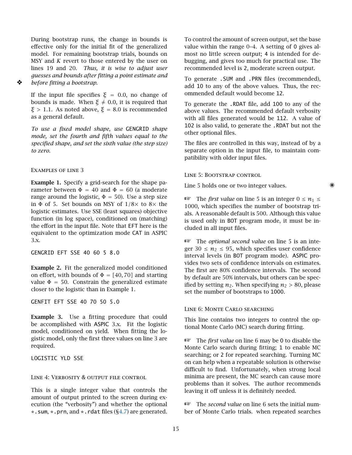During bootstrap runs, the change in bounds is effective only for the initial fit of the generalized model. For remaining bootstrap trials, bounds on MSY and *K* revert to those entered by the user on lines 19 and 20. *Thus, it is wise to adjust user guesses and bounds after fitting a point estimate and* ❖ *before fitting a bootstrap.*

If the input file specifies  $\xi = 0.0$ , no change of bounds is made. When  $ξ ≠ 0.0$ , it is required that *ξ >* 1*.*1. As noted above, *ξ* = 8*.*0 is recommended as a general default.

*To use a fixed model shape, use* GENGRID *shape mode, set the fourth and fifth values equal to the specified shape, and set the sixth value (the step size) to zero.*

Examples of line 3

Example 1. Specify a grid-search for the shape parameter between  $\Phi = 40$  and  $\Phi = 60$  (a moderate range around the logistic,  $\Phi = 50$ ). Use a step size in  $\Phi$  of 5. Set bounds on MSY of  $1/8\times$  to  $8\times$  the logistic estimates. Use SSE (least squares) objective function (in log space), conditioned on (matching) the effort in the input file. Note that EFT here is the equivalent to the optimization mode CAT in ASPIC 3.x.

GENGRID EFT SSE 40 60 5 8.0

Example 2. Fit the generalized model conditioned on effort, with bounds of  $\Phi = [40, 70]$  and starting value  $\Phi = 50$ . Constrain the generalized estimate closer to the logistic than in Example 1.

GENFIT EFT SSE 40 70 50 5.0

Example 3. Use a fitting procedure that could be accomplished with ASPIC 3.x. Fit the logistic model, conditioned on yield. When fitting the logistic model, only the first three values on line 3 are required.

LOGISTIC YLD SSE

#### <span id="page-14-0"></span>LINE 4: VERBOSITY & OUTPUT FILE CONTROL

This is a single integer value that controls the amount of output printed to the screen during execution (the "verbosity") and whether the optional \*.sum, \*.prn, and \*.rdat files ([§4.7\)](#page-9-1) are generated.

To control the amount of screen output, set the base value within the range 0–4. A setting of 0 gives almost no little screen output; 4 is intended for debugging, and gives too much for practical use. The recommended level is 2, moderate screen output.

To generate .SUM and .PRN files (recommended), add 10 to any of the above values. Thus, the recommended default would become 12.

To generate the .RDAT file, add 100 to any of the above values. The recommended default verbosity with all files generated would be 112. A value of 102 is also valid, to generate the .RDAT but not the other optional files.

The files are controlled in this way, instead of by a separate option in the input file, to maintain compatibility with older input files.

<span id="page-14-1"></span>Line 5: Bootstrap control

Line 5 holds one or two integer values.

**E** The *first value* on line 5 is an integer  $0 \le n_1 \le$ 1000, which specifies the number of bootstrap trials. A reasonable default is 500. Although this value is used only in BOT program mode, it must be included in all input files.

☞ The *optional second value* on line 5 is an integer  $30 \le n_2 \le 95$ , which specifies user confidence interval levels (in BOT program mode). ASPIC provides two sets of confidence intervals on estimates. The first are 80% confidence intervals. The second by default are 50% intervals, but others can be specified by setting  $n_2$ . When specifying  $n_2 > 80$ , please set the number of bootstraps to 1000.

#### Line 6: Monte Carlo searching

This line contains two integers to control the optional Monte Carlo (MC) search during fitting.

☞ The *first value* on line 6 may be <sup>0</sup> to disable the Monte Carlo search during fitting; 1 to enable MC searching; or 2 for repeated searching. Turning MC on can help when a repeatable solution is otherwise difficult to find. Unfortunately, when strong local minima are present, the MC search can cause more problems than it solves. The author recommends leaving it off unless it is definitely needed.

☞ The *second value* on line 6 sets the initial number of Monte Carlo trials. when repeated searches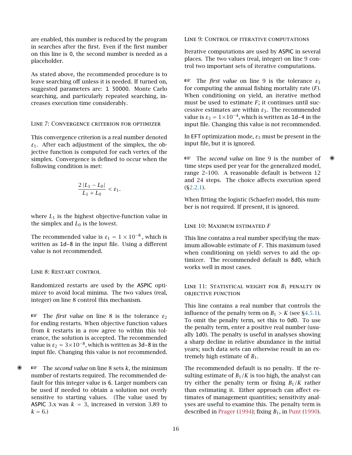are enabled, this number is reduced by the program in searches after the first. Even if the first number on this line is 0, the second number is needed as a placeholder.

As stated above, the recommended procedure is to leave searching off unless it is needed. If turned on, suggested parameters are: 1 50000. Monte Carlo searching, and particularly repeated searching, increases execution time considerably.

#### Line 7: Convergence criterion for optimizer

This convergence criterion is a real number denoted  $\varepsilon_1$ . After each adjustment of the simplex, the objective function is computed for each vertex of the simplex. Convergence is defined to occur when the following condition is met:

$$
\frac{2|L_1 - L_0|}{L_1 + L_0} < \varepsilon_1.
$$

where  $L_1$  is the highest objective-function value in the simplex and  $L_0$  is the lowest.

The recommended value is  $\varepsilon_1 = 1 \times 10^{-8}$ , which is written as 1d-8 in the input file. Using a different value is not recommended.

#### <span id="page-15-0"></span>Line 8: Restart control

Randomized restarts are used by the ASPIC optimizer to avoid local minima. The two values (real, integer) on line 8 control this mechanism.

☞ The *first value* on line 8 is the tolerance *<sup>ε</sup>*<sup>2</sup> for ending restarts. When objective function values from *k* restarts in a row agree to within this tolerance, the solution is accepted. The recommended value is  $\varepsilon_2 = 3 \times 10^{-8}$ , which is written as 3d-8 in the input file. Changing this value is not recommended.

✺ ☞ The *second value* on line 8 sets *<sup>k</sup>*, the minimum number of restarts required. The recommended default for this integer value is 6. Larger numbers can be used if needed to obtain a solution not overly sensitive to starting values. (The value used by ASPIC 3.x was  $k = 3$ , increased in version 3.89 to  $k = 6.$ 

<span id="page-15-1"></span>Line 9: Control of iterative computations

Iterative computations are used by ASPIC in several places. The two values (real, integer) on line 9 control two important sets of iterative computations.

☞ The *first value* on line 9 is the tolerance *<sup>ε</sup>*<sup>3</sup> for computing the annual fishing mortality rate (*F*). When conditioning on yield, an iterative method must be used to estimate *F*; it continues until successive estimates are within *ε*3. The recommended value is  $\varepsilon_3 = 1 \times 10^{-4}$ , which is written as 1d-4 in the input file. Changing this value is not recommended.

In EFT optimization mode, *ε*<sup>3</sup> must be present in the input file, but it is ignored.

☞ The *second value* on line 9 is the number of ✺ time steps used per year for the generalized model, range 2–100. A reasonable default is between 12 and 24 steps. The choice affects execution speed ([§2.2.1\)](#page-5-1).

When fitting the logistic (Schaefer) model, this number is not required. If present, it is ignored.

#### Line 10: Maximum estimated *F*

This line contains a real number specifying the maximum allowable estimate of *F*. This maximum (used when conditioning on yield) serves to aid the optimizer. The recommended default is 8d0, which works well in most cases.

LINE 11: STATISTICAL WEIGHT FOR  $B_1$  penalty in objective function

This line contains a real number that controls the influence of the penalty term on  $B_1 > K$  (see [§4.5.1\)](#page-8-2). To omit the penalty term, set this to 0d0. To use the penalty term, enter a positive real number (usually 1d0). The penalty is useful in analyses showing a sharp decline in relative abundance in the initial years; such data sets can otherwise result in an extremely high estimate of  $B_1$ .

The recommended default is no penalty. If the resulting estimate of  $B_1/K$  is too high, the analyst can try either the penalty term or fixing  $B_1/K$  rather than estimating it. Either approach can affect estimates of management quantities; sensitivity analyses are useful to examine this. The penalty term is described in [Prager](#page-25-0) [\(1994\)](#page-25-0); fixing *B*1, in [Punt](#page-25-11) [\(1990\)](#page-25-11).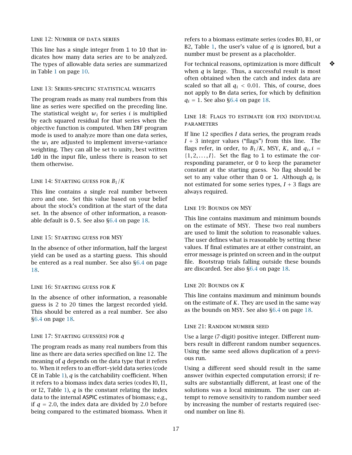#### Line 12: Number of data series

This line has a single integer from 1 to 10 that indicates how many data series are to be analyzed. The types of allowable data series are summarized in Table [1](#page-9-5) on page [10.](#page-9-5)

#### Line 13: Series-specific statistical weights

The program reads as many real numbers from this line as series were specified on the preceding line. The statistical weight  $w_i$  for series  $i$  is multiplied by each squared residual for that series when the objective function is computed. When IRF program mode is used to analyze more than one data series, the  $w_i$  are adjusted to implement inverse-variance weighting. They can all be set to unity, best written 1d0 in the input file, unless there is reason to set them otherwise.

#### Line 14: Starting guess for *B*1*/K*

This line contains a single real number between zero and one. Set this value based on your belief about the stock's condition at the start of the data set. In the absence of other information, a reasonable default is 0.5. See also [§6.4](#page-17-0) on page [18.](#page-17-0)

#### Line 15: Starting guess for MSY

In the absence of other information, half the largest yield can be used as a starting guess. This should be entered as a real number. See also [§6.4](#page-17-0) on page [18.](#page-17-0)

#### Line 16: Starting guess for *K*

In the absence of other information, a reasonable guess is 2 to 20 times the largest recorded yield. This should be entered as a real number. See also [§6.4](#page-17-0) on page [18.](#page-17-0)

#### <span id="page-16-0"></span>Line 17: Starting guess(es) for *q*

The program reads as many real numbers from this line as there are data series specified on line 12. The meaning of *q* depends on the data type that it refers to. When it refers to an effort–yield data series (code CE in Table [1\)](#page-9-5), *q* is the catchability coefficient. When it refers to a biomass index data series (codes I0, I1, or I2, Table [1\)](#page-9-5),  $q$  is the constant relating the index data to the internal ASPIC estimates of biomass; e.g., if  $q = 2.0$ , the index data are divided by 2.0 before being compared to the estimated biomass. When it refers to a biomass estimate series (codes B0, B1, or B2, Table [1,](#page-9-5) the user's value of *q* is ignored, but a number must be present as a placeholder.

For technical reasons, optimization is more difficult  $\diamondsuit$ when *q* is large. Thus, a successful result is most often obtained when the catch and index data are scaled so that all  $q_i$  < 0.01. This, of course, does not apply to Bn data series, for which by definition  $q_i = 1$ . See also [§6.4](#page-17-0) on page [18.](#page-17-0)

#### Line 18: Flags to estimate (or fix) individual **PARAMETERS**

If line 12 specifies *I* data series, the program reads  $I + 3$  integer values ("flags") from this line. The flags refer, in order, to  $B_1/K$ , MSY,  $K$ , and  $q_i$ ,  $i =$  $\{1, 2, \ldots, I\}$ . Set the flag to 1 to estimate the corresponding parameter, or 0 to keep the parameter constant at the starting guess. No flag should be set to any value other than 0 or 1. Although  $q_i$  is not estimated for some series types,  $I + 3$  flags are always required.

#### Line 19: Bounds on MSY

This line contains maximum and minimum bounds on the estimate of MSY. These two real numbers are used to limit the solution to reasonable values. The user defines what is reasonable by setting these values. If final estimates are at either constraint, an error message is printed on screen and in the output file. Bootstrap trials falling outside these bounds are discarded. See also [§6.4](#page-17-0) on page [18.](#page-17-0)

#### Line 20: Bounds on *K*

This line contains maximum and minimum bounds on the estimate of *K*. They are used in the same way as the bounds on MSY. See also [§6.4](#page-17-0) on page [18.](#page-17-0)

#### Line 21: Random number seed

Use a large (7-digit) positive integer. Different numbers result in different random number sequences. Using the same seed allows duplication of a previous run.

Using a different seed should result in the same answer (within expected computation errors); if results are substantially different, at least one of the solutions was a local minimum. The user can attempt to remove sensitivity to random number seed by increasing the number of restarts required (second number on line 8).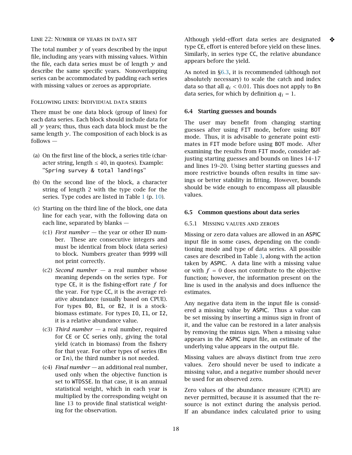#### Line 22: Number of years in data set

The total number  $\gamma$  of years described by the input file, including any years with missing values. Within the file, each data series must be of length  $\gamma$  and describe the same specific years. Nonoverlapping series can be accommodated by padding each series with missing values or zeroes as appropriate.

#### Following lines: Individual data series

There must be one data block (group of lines) for each data series. Each block should include data for all  $\gamma$  years; thus, thus each data block must be the same length  $\gamma$ . The composition of each block is as follows —

- (a) On the first line of the block, a series title (character string, length  $\leq 40$ , in quotes). Example: ''Spring survey & total landings''
- (b) On the second line of the block, a character string of length 2 with the type code for the series. Type codes are listed in Table [1](#page-9-5) (p. [10\)](#page-9-5).
- (c) Starting on the third line of the block, one data line for each year, with the following data on each line, separated by blanks —
	- (c1) *First number —* the year or other ID number. These are consecutive integers and must be identical from block (data series) to block. Numbers greater than 9999 will not print correctly.
	- (c2) *Second number —* a real number whose meaning depends on the series type. For type CE, it is the fishing-effort rate *f* for the year. For type CC, it is the average relative abundance (usually based on CPUE). For types B0, B1, or B2, it is a stockbiomass estimate. For types I0, I1, or I2, it is a relative abundance value.
	- (c3) *Third number —* a real number, required for CE or CC series only, giving the total yield (catch in biomass) from the fishery for that year. For other types of series (B*n* or I*n*), the third number is not needed.
	- (c4) *Final number —* an additional real number, used only when the objective function is set to WTDSSE. In that case, it is an annual statistical weight, which in each year is multiplied by the corresponding weight on line 13 to provide final statistical weighting for the observation.

Although yield–effort data series are designated ❖ type CE, effort is entered before yield on these lines. Similarly, in series type CC, the relative abundance appears before the yield.

As noted in [§6.3,](#page-16-0) it is recommended (although not absolutely necessary) to scale the catch and index data so that all  $q_i < 0.01$ . This does not apply to Bn data series, for which by definition  $q_i = 1$ .

#### <span id="page-17-0"></span>6.4 Starting guesses and bounds

The user may benefit from changing starting guesses after using FIT mode, before using BOT mode. Thus, it is advisable to generate point estimates in FIT mode before using BOT mode. After examining the results from FIT mode, consider adjusting starting guesses and bounds on lines 14–17 and lines 19–20. Using better starting guesses and more restrictive bounds often results in time savings or better stability in fitting. However, bounds should be wide enough to encompass all plausible values.

#### <span id="page-17-2"></span><span id="page-17-1"></span>6.5 Common questions about data series

#### 6.5.1 Missing values and zeroes

Missing or zero data values are allowed in an ASPIC input file in some cases, depending on the conditioning mode and type of data series. All possible cases are described in Table [3,](#page-18-1) along with the action taken by ASPIC. A data line with a missing value or with  $f = 0$  does not contribute to the objective function; however, the information present on the line is used in the analysis and does influence the estimates.

Any negative data item in the input file is considered a missing value by ASPIC. Thus a value can be set missing by inserting a minus sign in front of it, and the value can be restored in a later analysis by removing the minus sign. When a missing value appears in the ASPIC input file, an estimate of the underlying value appears in the output file.

Missing values are always distinct from true zero values. Zero should never be used to indicate a missing value, and a negative number should never be used for an observed zero.

Zero values of the abundance measure (CPUE) are never permitted, because it is assumed that the resource is not extinct during the analysis period. If an abundance index calculated prior to using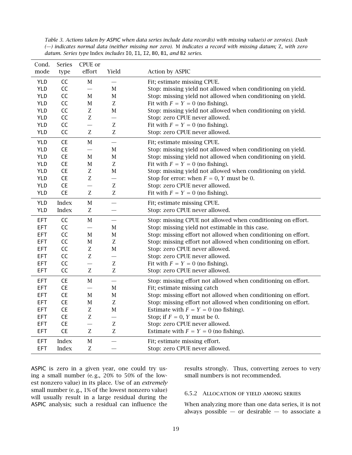<span id="page-18-1"></span>*Table 3. Actions taken by ASPIC when data series include data record(s) with missing value(s) or zero(es). Dash (—) indicates normal data (neither missing nor zero).* M *indicates a record with missing datum;* Z, *with zero datum. Series type* Index *includes* I0*,* I1*,* I2*,* B0*,* B1*, and* B2 *series.*

| Cond.      | Series       | CPUE or                  |                           |                                                               |
|------------|--------------|--------------------------|---------------------------|---------------------------------------------------------------|
| mode       | type         | effort                   | Yield                     | Action by ASPIC                                               |
| YLD        | CC           | $\mathbf M$              | $\overline{\phantom{0}}$  | Fit; estimate missing CPUE.                                   |
| <b>YLD</b> | CC           | $\overline{\phantom{0}}$ | М                         | Stop: missing yield not allowed when conditioning on yield.   |
| <b>YLD</b> | CC           | $\mathbf M$              | $\mathbf M$               | Stop: missing yield not allowed when conditioning on yield.   |
| <b>YLD</b> | CC           | $\mathbf M$              | Z                         | Fit with $F = Y = 0$ (no fishing).                            |
| <b>YLD</b> | CC           | Z                        | $\mathbf M$               | Stop: missing yield not allowed when conditioning on yield.   |
| <b>YLD</b> | CC           | $\rm Z$                  | $\overline{\phantom{0}}$  | Stop: zero CPUE never allowed.                                |
| <b>YLD</b> | CC           | $\overline{\phantom{0}}$ | $\mathbf{Z}$              | Fit with $F = Y = 0$ (no fishing).                            |
| <b>YLD</b> | CC           | Z                        | Z                         | Stop: zero CPUE never allowed.                                |
| <b>YLD</b> | CE           | $\mathbf M$              |                           | Fit; estimate missing CPUE.                                   |
| <b>YLD</b> | CE           | $\overline{\phantom{0}}$ | $\mathbf M$               | Stop: missing yield not allowed when conditioning on yield.   |
| <b>YLD</b> | <b>CE</b>    | $\mathbf M$              | $\mathbf M$               | Stop: missing yield not allowed when conditioning on yield.   |
| <b>YLD</b> | <b>CE</b>    | $\mathbf M$              | Z                         | Fit with $F = Y = 0$ (no fishing).                            |
| <b>YLD</b> | <b>CE</b>    | Z                        | $\mathbf M$               | Stop: missing yield not allowed when conditioning on yield.   |
| <b>YLD</b> | <b>CE</b>    | Z                        |                           | Stop for error: when $F = 0$ , Y must be 0.                   |
| <b>YLD</b> | <b>CE</b>    | $\overline{\phantom{0}}$ | $\overline{z}$            | Stop: zero CPUE never allowed.                                |
| YLD        | CE           | Z                        | $\mathbf{Z}$              | Fit with $F = Y = 0$ (no fishing).                            |
| <b>YLD</b> | Index        | $\mathbf M$              |                           | Fit; estimate missing CPUE.                                   |
| <b>YLD</b> | Index        | Z                        | $\overline{\phantom{0}}$  | Stop: zero CPUE never allowed.                                |
| EFT        | CC           | $\mathbf M$              | $\overline{\phantom{0}}$  | Stop: missing CPUE not allowed when conditioning on effort.   |
| <b>EFT</b> | CC           | $\overline{\phantom{0}}$ | М                         | Stop: missing yield not estimable in this case.               |
| <b>EFT</b> | CC           | М                        | $\mathbf M$               | Stop: missing effort not allowed when conditioning on effort. |
| <b>EFT</b> | CC           | $\mathbf M$              | $\ensuremath{\mathbf{Z}}$ | Stop: missing effort not allowed when conditioning on effort. |
| <b>EFT</b> | CC           | Z                        | $\mathbf M$               | Stop: zero CPUE never allowed.                                |
| <b>EFT</b> | CC           | Z                        |                           | Stop: zero CPUE never allowed.                                |
| <b>EFT</b> | CC           | $\overline{\phantom{0}}$ | $\ensuremath{\mathbf{Z}}$ | Fit with $F = Y = 0$ (no fishing).                            |
| EFT        | CC           | $\rm Z$                  | Z                         | Stop: zero CPUE never allowed.                                |
| <b>EFT</b> | CE           | $\mathbf M$              | $\overline{\phantom{0}}$  | Stop: missing effort not allowed when conditioning on effort. |
| <b>EFT</b> | <b>CE</b>    | $\overline{\phantom{0}}$ | $\mathbf M$               | Fit; estimate missing catch                                   |
| <b>EFT</b> | <b>CE</b>    | $\mathbf M$              | $\mathbf M$               | Stop: missing effort not allowed when conditioning on effort. |
| <b>EFT</b> | CE           | $\mathbf M$              | $\rm Z$                   | Stop: missing effort not allowed when conditioning on effort. |
| <b>EFT</b> | CE           | Z                        | $\mathbf M$               | Estimate with $F = Y = 0$ (no fishing).                       |
| <b>EFT</b> | CE           | Z                        | $\overline{\phantom{0}}$  | Stop; if $F = 0$ , Y must be 0.                               |
| <b>EFT</b> | <b>CE</b>    |                          | Z                         | Stop: zero CPUE never allowed.                                |
| <b>EFT</b> | <b>CE</b>    | Z                        | $\ensuremath{\mathbf{Z}}$ | Estimate with $F = Y = 0$ (no fishing).                       |
| <b>EFT</b> | Index        | $\mathbf M$              | $\overline{\phantom{0}}$  | Fit; estimate missing effort.                                 |
| <b>EFT</b> | <b>Index</b> | Z                        |                           | Stop: zero CPUE never allowed.                                |

ASPIC is zero in a given year, one could try using a small number (e. g., 20% to 50% of the lowest nonzero value) in its place. Use of an *extremely* small number (e.g., 1% of the lowest nonzero value) will usually result in a large residual during the ASPIC analysis; such a residual can influence the

results strongly. Thus, converting zeroes to very small numbers is not recommended.

#### <span id="page-18-0"></span>6.5.2 Allocation of yield among series

When analyzing more than one data series, it is not always possible  $-$  or desirable  $-$  to associate a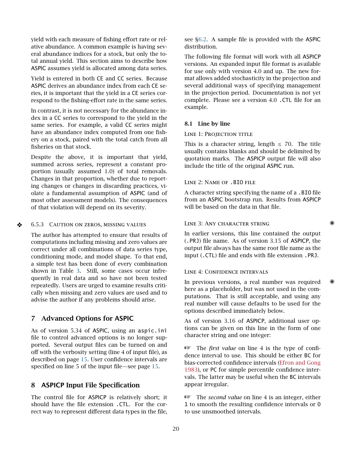yield with each measure of fishing effort rate or relative abundance. A common example is having several abundance indices for a stock, but only the total annual yield. This section aims to describe how ASPIC assumes yield is allocated among data series.

Yield is entered in both CE and CC series. Because ASPIC derives an abundance index from each CE series, it is important that the yield in a CE series correspond to the fishing-effort rate in the same series.

In contrast, it is not necessary for the abundance index in a CC series to correspond to the yield in the same series. For example, a valid CC series might have an abundance index computed from one fishery on a stock, paired with the total catch from all fisheries on that stock.

Despite the above, it is important that yield, summed across series, represent a constant proportion (usually assumed 1*.*0) of total removals. Changes in that proportion, whether due to reporting changes or changes in discarding practices, violate a fundamental assumption of ASPIC (and of most other assessment models). The consequences of that violation will depend on its severity.

#### <span id="page-19-0"></span> $\triangle$  6.5.3 CAUTION ON ZEROS, MISSING VALUES

The author has attempted to ensure that results of computations including missing and zero values are correct under all combinations of data series type, conditioning mode, and model shape. To that end, a simple test has been done of every combination shown in Table [3.](#page-18-1) Still, some cases occur infrequently in real data and so have not been tested repeatedly. Users are urged to examine results critically when missing and zero values are used and to advise the author if any problems should arise.

#### <span id="page-19-1"></span>7 Advanced Options for ASPIC

As of version 5.34 of ASPIC, using an aspic.ini file to control advanced options is no longer supported. Several output files can be turned on and off with the verbosity setting (line 4 of input file), as described on page [15.](#page-14-0) User confidence intervals are specified on line 5 of the input file—see page [15.](#page-14-1)

#### <span id="page-19-2"></span>8 ASPICP Input File Specification

The control file for ASPICP is relatively short; it should have the file extension .CTL. For the correct way to represent different data types in the file, see [§6.2.](#page-12-3) A sample file is provided with the ASPIC distribution.

The following file format will work with all ASPICP versions. An expanded input file format is available for use only with version 4.0 and up. The new format allows added stochasticity in the projection and several additional ways of specifying management in the projection period. Documentation is not yet complete. Please see a version 4.0 .CTL file for an example.

#### <span id="page-19-3"></span>8.1 Line by line

#### LINE 1: PROJECTION TITLE

This is a character string, length  $\leq$  70. The title usually contains blanks and should be delimited by quotation marks. The ASPICP output file will also include the title of the original ASPIC run.

#### Line 2: Name of .BIO file

A character string specifying the name of a .BIO file from an ASPIC bootstrap run. Results from ASPICP will be based on the data in that file.

#### LINE 3: ANY CHARACTER STRING **WARE**

In earlier versions, this line contained the output (.PRJ) file name. As of version 3.15 of ASPICP, the output file always has the same root file name as the input (.CTL) file and ends with file extension .PRJ.

#### LINE 4: CONFIDENCE INTERVALS

In previous versions, a real number was required here as a placeholder, but was not used in the computations. That is still acceptable, and using any real number will cause defaults to be used for the options described immediately below.

As of version 3.16 of ASPICP, additional user options can be given on this line in the form of one character string and one integer:

☞ The *first value* on line 4 is the type of confidence interval to use. This should be either BC for bias-corrected confidence intervals [\(Efron and Gong](#page-24-13) [1983\)](#page-24-13), or PC for simple percentile confidence intervals. The latter may be useful when the BC intervals appear irregular.

☞ The *second value* on line 4 is an integer, either 1 to smooth the resulting confidence intervals or 0 to use unsmoothed intervals.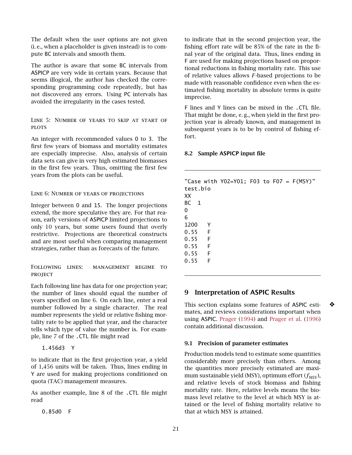The default when the user options are not given (i. e., when a placeholder is given instead) is to compute BC intervals and smooth them.

The author is aware that some BC intervals from ASPICP are very wide in certain years. Because that seems illogical, the author has checked the corresponding programming code repeatedly, but has not discovered any errors. Using PC intervals has avoided the irregularity in the cases tested.

Line 5: Number of years to skip at start of **PLOTS** 

An integer with recommended values 0 to 3. The first few years of biomass and mortality estimates are especially imprecise. Also, analysis of certain data sets can give in very high estimated biomasses in the first few years. Thus, omitting the first few years from the plots can be useful.

Line 6: Number of years of projections

Integer between 0 and 15. The longer projections extend, the more speculative they are. For that reason, early versions of ASPICP limited projections to only 10 years, but some users found that overly restrictive. Projections are theoretical constructs and are most useful when comparing management strategies, rather than as forecasts of the future.

Following lines: management regime to **PROJECT** 

Each following line has data for one projection year; the number of lines should equal the number of years specified on line 6. On each line, enter a real number followed by a single character. The real number represents the yield or relative fishing mortality rate to be applied that year, and the character tells which type of value the number is. For example, line 7 of the .CTL file might read

1.456d3 Y

to indicate that in the first projection year, a yield of 1,456 units will be taken. Thus, lines ending in Y are used for making projections conditioned on quota (TAC) management measures.

As another example, line 8 of the .CTL file might read

0.85d0 F

to indicate that in the second projection year, the fishing effort rate will be 85% of the rate in the final year of the original data. Thus, lines ending in F are used for making projections based on proportional reductions in fishing mortality rate. This use of relative values allows *F*-based projections to be made with reasonable confidence even when the estimated fishing mortality in absolute terms is quite imprecise.

F lines and Y lines can be mixed in the .CTL file. That might be done, e. g., when yield in the first projection year is already known, and management in subsequent years is to be by control of fishing effort.

#### <span id="page-20-0"></span>8.2 Sample ASPICP input file

| test.bio<br>XX |     | "Case with Y02=Y01; F03 to F07 = $F(MSY)$ " |  |  |  |
|----------------|-----|---------------------------------------------|--|--|--|
|                |     |                                             |  |  |  |
| BC 1           |     |                                             |  |  |  |
| 0              |     |                                             |  |  |  |
| 6              |     |                                             |  |  |  |
| 1200           | Y   |                                             |  |  |  |
| 0.55           | - F |                                             |  |  |  |
| 0.55           | - F |                                             |  |  |  |
| 0.55 F         |     |                                             |  |  |  |
| 0.55 F         |     |                                             |  |  |  |
| 0.55           | F   |                                             |  |  |  |
|                |     |                                             |  |  |  |

# <span id="page-20-1"></span>9 Interpretation of ASPIC Results

This section explains some features of ASPIC esti- ❖ mates, and reviews considerations important when using ASPIC. [Prager](#page-25-0) [\(1994\)](#page-25-0) and [Prager et al.](#page-25-6) [\(1996\)](#page-25-6) contain additional discussion.

#### <span id="page-20-2"></span>9.1 Precision of parameter estimates

Production models tend to estimate some quantities considerably more precisely than others. Among the quantities more precisely estimated are maximum sustainable yield (MSY), optimum effort ( $f_{\text{MSY}}$ ), and relative levels of stock biomass and fishing mortality rate. Here, relative levels means the biomass level relative to the level at which MSY is attained or the level of fishing mortality relative to that at which MSY is attained.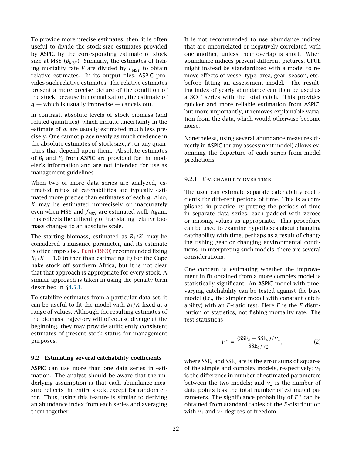To provide more precise estimates, then, it is often useful to divide the stock-size estimates provided by ASPIC by the corresponding estimate of stock size at MSY  $(B_{\text{MSY}})$ . Similarly, the estimates of fishing mortality rate  $F$  are divided by  $F_{\text{MSY}}$  to obtain relative estimates. In its output files, ASPIC provides such relative estimates. The relative estimates present a more precise picture of the condition of the stock, because in normalization, the estimate of  $q$  — which is usually imprecise — cancels out.

In contrast, absolute levels of stock biomass (and related quantities), which include uncertainty in the estimate of *q*, are usually estimated much less precisely. One cannot place nearly as much credence in the absolute estimates of stock size, *F*, or any quantities that depend upon them. Absolute estimates of  $B_t$  and  $F_t$  from ASPIC are provided for the modeler's information and are not intended for use as management guidelines.

When two or more data series are analyzed, estimated ratios of catchabilities are typically estimated more precise than estimates of each *q*. Also, *K* may be estimated imprecisely or inaccurately even when MSY and  $f_{MSY}$  are estimated well. Again, this reflects the difficulty of translating relative biomass changes to an absolute scale.

The starting biomass, estimated as  $B_1/K$ , may be considered a nuisance parameter, and its estimate is often imprecise. [Punt](#page-25-11) [\(1990\)](#page-25-11) recommended fixing  $B_1/K = 1.0$  (rather than estimating it) for the Cape hake stock off southern Africa, but it is not clear that that approach is appropriate for every stock. A similar approach is taken in using the penalty term described in [§4.5.1.](#page-8-2)

To stabilize estimates from a particular data set, it can be useful to fit the model with  $B_1/K$  fixed at a range of values. Although the resulting estimates of the biomass trajectory will of course diverge at the beginning, they may provide sufficiently consistent estimates of present stock status for management purposes.

#### <span id="page-21-0"></span>9.2 Estimating several catchability coefficients

ASPIC can use more than one data series in estimation. The analyst should be aware that the underlying assumption is that each abundance measure reflects the entire stock, except for random error. Thus, using this feature is similar to deriving an abundance index from each series and averaging them together.

It is not recommended to use abundance indices that are uncorrelated or negatively correlated with one another, unless their overlap is short. When abundance indices present different pictures, CPUE might instead be standardized with a model to remove effects of vessel type, area, gear, season, etc., before fitting an assessment model. The resulting index of yearly abundance can then be used as a SCC' series with the total catch. This provides quicker and more reliable estimation from ASPIC, but more importantly, it removes explainable variation from the data, which would otherwise become noise.

Nonetheless, using several abundance measures directly in ASPIC (or any assessment model) allows examining the departure of each series from model predictions.

#### <span id="page-21-1"></span>9.2.1 CATCHABILITY OVER TIME

The user can estimate separate catchability coefficients for different periods of time. This is accomplished in practice by putting the periods of time in separate data series, each padded with zeroes or missing values as appropriate. This procedure can be used to examine hypotheses about changing catchability with time, perhaps as a result of changing fishing gear or changing environmental conditions. In interpreting such models, there are several considerations.

One concern is estimating whether the improvement in fit obtained from a more complex model is statistically significant. An ASPIC model with timevarying catchability can be tested against the base model (i.e., the simpler model with constant catchability) with an *F*–ratio test. Here *F* is the *F* distribution of statistics, not fishing mortality rate. The test statistic is

$$
F^* = \frac{(SSE_s - SSE_c)/v_1}{SSE_c/v_2},\tag{2}
$$

where SSE*<sup>s</sup>* and SSE*<sup>c</sup>* are is the error sums of squares of the simple and complex models, respectively; *ν*<sup>1</sup> is the difference in number of estimated parameters between the two models; and  $v_2$  is the number of data points less the total number of estimated parameters. The significance probability of *F* <sup>∗</sup> can be obtained from standard tables of the *F*-distribution with  $v_1$  and  $v_2$  degrees of freedom.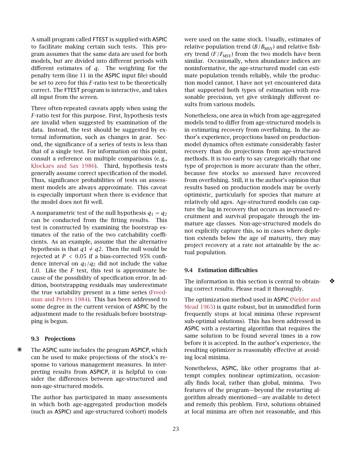A small program called FTEST is supplied with ASPIC to facilitate making certain such tests. This program assumes that the same data are used for both models, but are divided into different periods with different estimates of *q*. The weighting for the penalty term (line 11 in the ASPIC input file) should be set to zero for this *F*-ratio test to be theoretically correct. The FTEST program is interactive, and takes all input from the screen.

Three often-repeated caveats apply when using the *F*-ratio test for this purpose. First, hypothesis tests are invalid when suggested by examination of the data. Instead, the test should be suggested by external information, such as changes in gear. Second, the significance of a series of tests is less than that of a single test. For information on this point, consult a reference on multiple comparisons (e. g., [Klockars and Sax](#page-24-14) [1986\)](#page-24-14). Third, hypothesis tests generally assume correct specification of the model. Thus, significance probabilities of tests on assessment models are always approximate. This caveat is especially important when there is evidence that the model does not fit well.

A nonparametric test of the null hypothesis  $q_1 = q_2$ can be conducted from the fitting results. This test is constructed by examining the bootstrap estimates of the ratio of the two catchability coefficients. As an example, assume that the alternative hypothesis is that  $q1 \neq q2$ . Then the null would be rejected at *P <* 0*.*05 if a bias-corrected 95% confidence interval on  $q_1/q_2$  did not include the value 1.0. Like the *F* test, this test is approximate because of the possibility of specification error. In addition, bootstrapping residuals may underestimate the true variability present in a time series [\(Freed](#page-24-15)[man and Peters](#page-24-15) [1984\)](#page-24-15). This has been addressed to some degree in the current version of ASPIC by the adjustment made to the residuals before bootstrapping is begun.

#### <span id="page-22-0"></span>9.3 Projections

The ASPIC suite includes the program ASPICP, which can be used to make projections of the stock's response to various management measures. In interpreting results from ASPICP, it is helpful to consider the differences between age-structured and non-age-structured models.

The author has participated in many assessments in which both age-aggregated production models (such as ASPIC) and age-structured (cohort) models were used on the same stock. Usually, estimates of relative population trend  $(B/B<sub>MSY</sub>)$  and relative fishery trend  $(F/F_{\text{MSY}})$  from the two models have been similar. Occasionally, when abundance indices are noninformative, the age-structured model can estimate population trends reliably, while the production model cannot. I have not yet encountered data that supported both types of estimation with reasonable precision, yet give strikingly different results from various models.

Nonetheless, one area in which from age-aggregated models tend to differ from age-structured models is in estimating recovery from overfishing. In the author's experience, projections based on productionmodel dynamics often estimate considerably faster recovery than do projections from age-structured methods. It is too early to say categorically that one type of projection is more accurate than the other, because few stocks so assessed have recovered from overfishing. Still, it is the author's opinion that results based on production models may be overly optimistic, particularly for species that mature at relatively old ages. Age-structured models can capture the lag in recovery that occurs as increased recruitment and survival propagate through the immature age classes. Non-age-structured models do not explicitly capture this, so in cases where depletion extends below the age of maturity, they may project recovery at a rate not attainable by the actual population.

#### <span id="page-22-1"></span>9.4 Estimation difficulties

The information in this section is central to obtain- $\bullet$ ing correct results. Please read it thoroughly.

The optimization method used in ASPIC [\(Nelder and](#page-24-16) [Mead](#page-24-16) [1965\)](#page-24-16) is quite robust, but in unmodified form frequently stops at local minima (these represent sub-optimal solutions). This has been addressed in ASPIC with a restarting algorithm that requires the same solution to be found several times in a row before it is accepted. In the author's experience, the resulting optimizer is reasonably effective at avoiding local minima.

Nonetheless, ASPIC, like other programs that attempt complex nonlinear optimization, occasionally finds local, rather than global, minima. Two features of the program—beyond the restarting algorithm already mentioned—are available to detect and remedy this problem. First, solutions obtained at local minima are often not reasonable, and this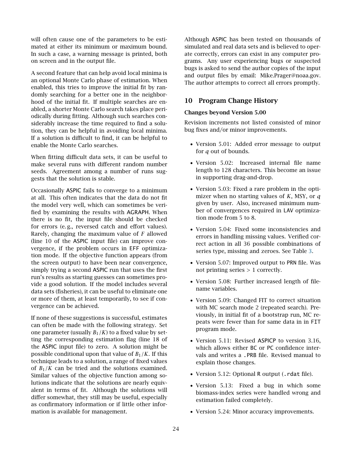will often cause one of the parameters to be estimated at either its minimum or maximum bound. In such a case, a warning message is printed, both on screen and in the output file.

A second feature that can help avoid local minima is an optional Monte Carlo phase of estimation. When enabled, this tries to improve the initial fit by randomly searching for a better one in the neighborhood of the initial fit. If multiple searches are enabled, a shorter Monte Carlo search takes place periodically during fitting. Although such searches considerably increase the time required to find a solution, they can be helpful in avoiding local minima. If a solution is difficult to find, it can be helpful to enable the Monte Carlo searches.

When fitting difficult data sets, it can be useful to make several runs with different random number seeds. Agreement among a number of runs suggests that the solution is stable.

Occasionally ASPIC fails to converge to a minimum at all. This often indicates that the data do not fit the model very well, which can sometimes be verified by examining the results with AGRAPH. When there is no fit, the input file should be checked for errors (e. g., reversed catch and effort values). Rarely, changing the maximum value of *F* allowed (line 10 of the ASPIC input file) can improve convergence, if the problem occurs in EFF optimization mode. If the objective function appears (from the screen output) to have been near convergence, simply trying a second ASPIC run that uses the first run's results as starting guesses can sometimes provide a good solution. If the model includes several data sets (fisheries), it can be useful to eliminate one or more of them, at least temporarily, to see if convergence can be achieved.

If none of these suggestions is successful, estimates can often be made with the following strategy. Set one parameter (usually  $B_1/K$ ) to a fixed value by setting the corresponding estimation flag (line 18 of the ASPIC input file) to zero. A solution might be possible conditional upon that value of  $B_1/K$ . If this technique leads to a solution, a range of fixed values of  $B_1/K$  can be tried and the solutions examined. Similar values of the objective function among solutions indicate that the solutions are nearly equivalent in terms of fit. Although the solutions will differ somewhat, they still may be useful, especially as confirmatory information or if little other information is available for management.

Although ASPIC has been tested on thousands of simulated and real data sets and is believed to operate correctly, errors can exist in any computer programs. Any user experiencing bugs or suspected bugs is asked to send the author copies of the input and output files by email: Mike.Prager@noaa.gov. The author attempts to correct all errors promptly.

# <span id="page-23-0"></span>10 Program Change History

#### Changes beyond Version 5.00

Revision increments not listed consisted of minor bug fixes and/or minor improvements.

- Version 5.01: Added error message to output for *q* out of bounds.
- Version 5.02: Increased internal file name length to 128 characters. This become an issue in supporting drag-and-drop.
- Version 5.03: Fixed a rare problem in the optimizer when no starting values of *K*, MSY, or *q* given by user. Also, increased minimum number of convergences required in LAV optimization mode from 5 to 8.
- Version 5.04: Fixed some inconsistencies and errors in handling missing values. Verified correct action in all 36 possible combinations of series type, missing and zeroes. See Table [3.](#page-18-1)
- Version 5.07: Improved output to PRN file. Was not printing series *>* 1 correctly.
- Version 5.08: Further increased length of filename variables.
- Version 5.09: Changed FIT to correct situation with MC search mode 2 (repeated search). Previously, in initial fit of a bootstrap run, MC repeats were fewer than for same data in in FIT program mode.
- Version 5.11: Revised ASPICP to version 3.16, which allows either BC or PC confidence intervals and writes a .PRB file. Revised manual to explain those changes.
- Version 5.12: Optional R output (.rdat file).
- Version 5.13: Fixed a bug in which some biomass-index series were handled wrong and estimation failed completely.
- Version 5.24: Minor accuracy improvements.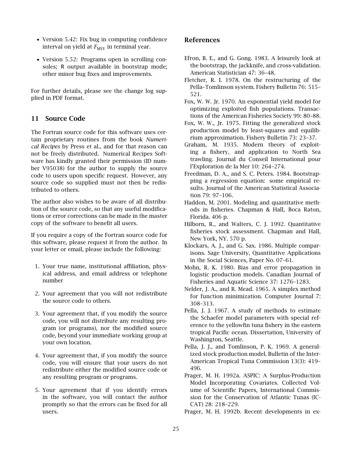- Version 5.42: Fix bug in computing confidence interval on yield at  $F_{\text{MSY}}$  in terminal year.
- Version 5.52: Programs open in scrolling consoles; R output available in bootstrap mode; other minor bug fixes and improvements.

For further details, please see the change log supplied in PDF format.

# <span id="page-24-0"></span>11 Source Code

The Fortran source code for this software uses certain proprietary routines from the book *Numerical Recipes* by Press et al., and for that reason can not be freely distributed. Numerical Recipes Software has kindly granted their permission (ID number V95038) for the author to supply the source code to users upon specific request. However, any source code so supplied must not then be redistributed to others.

The author also wishes to be aware of all distribution of the source code, so that any useful modifications or error corrections can be made in the master copy of the software to benefit all users.

If you require a copy of the Fortran source code for this software, please request it from the author. In your letter or email, please include the following:

- 1. Your true name, institutional affiliation, physical address, and email address or telephone number
- 2. Your agreement that you will not redistribute the source code to others.
- 3. Your agreement that, if you modify the source code, you will not distribute any resulting program (or programs), nor the modified source code, beyond your immediate working group at your own location.
- 4. Your agreement that, if you modify the source code, you will ensure that your users do not redistribute either the modified source code or any resulting program or programs.
- 5. Your agreement that if you identify errors in the software, you will contact the author promptly so that the errors can be fixed for all users.

# <span id="page-24-1"></span>References

- <span id="page-24-13"></span>Efron, B. E., and G. Gong. 1983. A leisurely look at the bootstrap, the jackknife, and cross-validation. American Statistician 47: 36–48.
- <span id="page-24-6"></span>Fletcher, R. I. 1978. On the restructuring of the Pella–Tomlinson system. Fishery Bulletin 76: 515– 521.
- <span id="page-24-12"></span>Fox, W. W. Jr. 1970. An exponential yield model for optimizing exploited fish populations. Transactions of the American Fisheries Society 99: 80–88.
- <span id="page-24-2"></span>Fox, W. W., Jr. 1975. Fitting the generalized stock production model by least-squares and equilibrium approximation. Fishery Bulletin 73: 23–37.
- <span id="page-24-11"></span>Graham, M. 1935. Modern theory of exploiting a fishery, and application to North Sea trawling. Journal du Conseil International pour l'Exploration de la Mer 10: 264–274.
- <span id="page-24-15"></span>Freedman, D. A., and S. C. Peters. 1984. Bootstrapping a regression equation: some empirical results. Journal of the American Statistical Association 79: 97–106.
- <span id="page-24-9"></span>Haddon, M. 2001. Modeling and quantitative methods in fisheries. Chapman & Hall, Boca Raton, Florida. 406 p.
- <span id="page-24-10"></span>Hilborn, R., and Walters, C. J. 1992. Quantitative fisheries stock assessment. Chapman and Hall, New York, NY. 570 p.
- <span id="page-24-14"></span>Klockars, A. J., and G. Sax. 1986. Multiple comparisons. Sage University, Quantitative Applications in the Social Sciences, Paper No. 07–61.
- <span id="page-24-3"></span>Mohn, R. K. 1980. Bias and error propagation in logistic production models. Canadian Journal of Fisheries and Aquatic Science 37: 1276–1283.
- <span id="page-24-16"></span>Nelder, J. A., and R. Mead. 1965. A simplex method for function minimization. Computer Journal 7: 308–313.
- <span id="page-24-4"></span>Pella, J. J. 1967. A study of methods to estimate the Schaefer model parameters with special reference to the yellowfin tuna fishery in the eastern tropical Pacific ocean. Dissertation, University of Washington, Seattle.
- <span id="page-24-5"></span>Pella, J. J., and Tomlinson, P. K. 1969. A generalized stock production model. Bulletin of the Inter-American Tropical Tuna Commission 13(3): 419– 496.
- <span id="page-24-7"></span>Prager, M. H. 1992a. ASPIC: A Surplus-Production Model Incorporating Covariates. Collected Volume of Scientific Papers, International Commission for the Conservation of Atlantic Tunas (IC-CAT) 28: 218–229.
- <span id="page-24-8"></span>Prager, M. H. 1992b. Recent developments in ex-